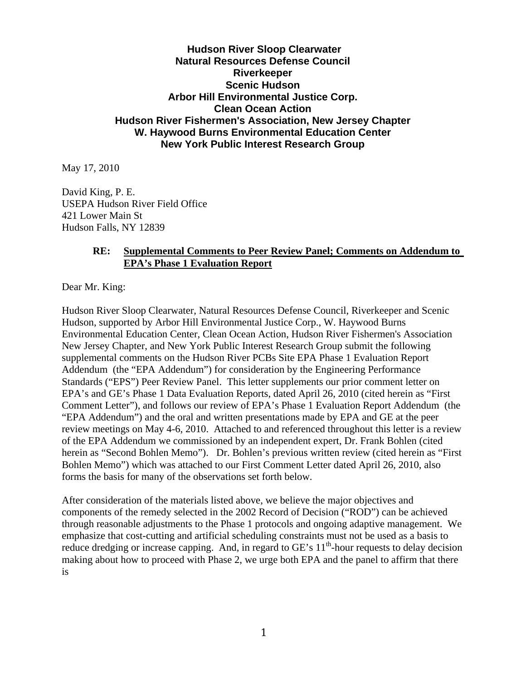# **Hudson River Sloop Clearwater Natural Resources Defense Council Riverkeeper Scenic Hudson Arbor Hill Environmental Justice Corp. Clean Ocean Action Hudson River Fishermen's Association, New Jersey Chapter W. Haywood Burns Environmental Education Center New York Public Interest Research Group**

May 17, 2010

David King, P. E. USEPA Hudson River Field Office 421 Lower Main St Hudson Falls, NY 12839

# **RE: Supplemental Comments to Peer Review Panel; Comments on Addendum to EPA's Phase 1 Evaluation Report**

Dear Mr. King:

Hudson River Sloop Clearwater, Natural Resources Defense Council, Riverkeeper and Scenic Hudson, supported by Arbor Hill Environmental Justice Corp., W. Haywood Burns Environmental Education Center, Clean Ocean Action, Hudson River Fishermen's Association New Jersey Chapter, and New York Public Interest Research Group submit the following supplemental comments on the Hudson River PCBs Site EPA Phase 1 Evaluation Report Addendum (the "EPA Addendum") for consideration by the Engineering Performance Standards ("EPS") Peer Review Panel. This letter supplements our prior comment letter on EPA's and GE's Phase 1 Data Evaluation Reports, dated April 26, 2010 (cited herein as "First Comment Letter"), and follows our review of EPA's Phase 1 Evaluation Report Addendum (the "EPA Addendum") and the oral and written presentations made by EPA and GE at the peer review meetings on May 4-6, 2010. Attached to and referenced throughout this letter is a review of the EPA Addendum we commissioned by an independent expert, Dr. Frank Bohlen (cited herein as "Second Bohlen Memo"). Dr. Bohlen's previous written review (cited herein as "First Bohlen Memo") which was attached to our First Comment Letter dated April 26, 2010, also forms the basis for many of the observations set forth below.

After consideration of the materials listed above, we believe the major objectives and components of the remedy selected in the 2002 Record of Decision ("ROD") can be achieved through reasonable adjustments to the Phase 1 protocols and ongoing adaptive management. We emphasize that cost-cutting and artificial scheduling constraints must not be used as a basis to reduce dredging or increase capping. And, in regard to GE's  $11<sup>th</sup>$ -hour requests to delay decision making about how to proceed with Phase 2, we urge both EPA and the panel to affirm that there is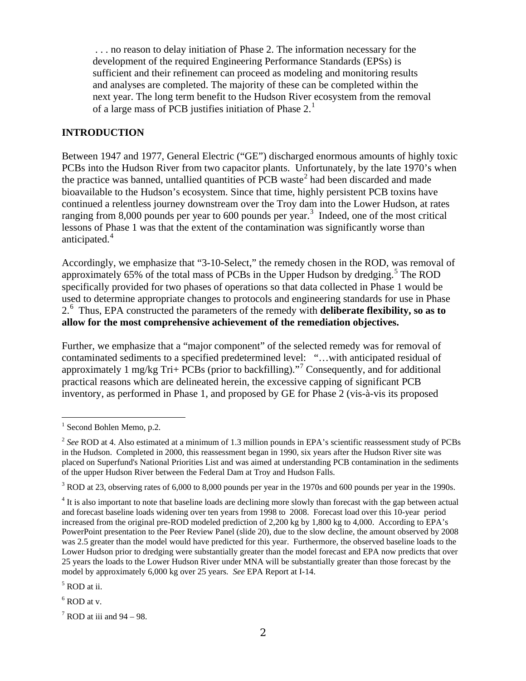. . . no reason to delay initiation of Phase 2. The information necessary for the development of the required Engineering Performance Standards (EPSs) is sufficient and their refinement can proceed as modeling and monitoring results and analyses are completed. The majority of these can be completed within the next year. The long term benefit to the Hudson River ecosystem from the removal of a large mass of PCB justifies initiation of Phase  $2<sup>1</sup>$  $2<sup>1</sup>$  $2<sup>1</sup>$ 

# **INTRODUCTION**

Between 1947 and 1977, General Electric ("GE") discharged enormous amounts of highly toxic PCBs into the Hudson River from two capacitor plants. Unfortunately, by the late 1970's when the practice was banned, untallied quantities of PCB waste<sup>[2](#page-1-1)</sup> had been discarded and made bioavailable to the Hudson's ecosystem. Since that time, highly persistent PCB toxins have continued a relentless journey downstream over the Troy dam into the Lower Hudson, at rates ranging from 8,000 pounds per year to 600 pounds per year.<sup>[3](#page-1-2)</sup> Indeed, one of the most critical lessons of Phase 1 was that the extent of the contamination was significantly worse than anticipated.<sup>[4](#page-1-3)</sup>

Accordingly, we emphasize that "3-10-Select," the remedy chosen in the ROD, was removal of approximately 6[5](#page-1-4)% of the total mass of PCBs in the Upper Hudson by dredging.<sup>5</sup> The ROD specifically provided for two phases of operations so that data collected in Phase 1 would be used to determine appropriate changes to protocols and engineering standards for use in Phase 2.[6](#page-1-5) Thus, EPA constructed the parameters of the remedy with **deliberate flexibility, so as to allow for the most comprehensive achievement of the remediation objectives.**

Further, we emphasize that a "major component" of the selected remedy was for removal of contaminated sediments to a specified predetermined level: "…with anticipated residual of approximately 1 mg/kg Tri+ PCBs (prior to backfilling)."<sup>[7](#page-1-6)</sup> Consequently, and for additional practical reasons which are delineated herein, the excessive capping of significant PCB inventory, as performed in Phase 1, and proposed by GE for Phase 2 (vis-à-vis its proposed

<span id="page-1-0"></span> $<sup>1</sup>$  Second Bohlen Memo, p.2.</sup>

<span id="page-1-1"></span><sup>2</sup> *See* ROD at 4. Also estimated at a minimum of 1.3 million pounds in EPA's scientific reassessment study of PCBs in the Hudson. Completed in 2000, this reassessment began in 1990, six years after the Hudson River site was placed on Superfund's National Priorities List and was aimed at understanding PCB contamination in the sediments of the upper Hudson River between the Federal Dam at Troy and Hudson Falls.

<span id="page-1-2"></span><sup>&</sup>lt;sup>3</sup> ROD at 23, observing rates of 6,000 to 8,000 pounds per year in the 1970s and 600 pounds per year in the 1990s.

<span id="page-1-3"></span><sup>&</sup>lt;sup>4</sup> It is also important to note that baseline loads are declining more slowly than forecast with the gap between actual and forecast baseline loads widening over ten years from 1998 to 2008. Forecast load over this 10-year period increased from the original pre-ROD modeled prediction of 2,200 kg by 1,800 kg to 4,000. According to EPA's PowerPoint presentation to the Peer Review Panel (slide 20), due to the slow decline, the amount observed by 2008 was 2.5 greater than the model would have predicted for this year. Furthermore, the observed baseline loads to the Lower Hudson prior to dredging were substantially greater than the model forecast and EPA now predicts that over 25 years the loads to the Lower Hudson River under MNA will be substantially greater than those forecast by the model by approximately 6,000 kg over 25 years*. See* EPA Report at I-14.

<span id="page-1-4"></span> $<sup>5</sup>$  ROD at ii.</sup>

<span id="page-1-5"></span> $6$  ROD at v.

<span id="page-1-6"></span> $<sup>7</sup>$  ROD at iii and 94 – 98.</sup>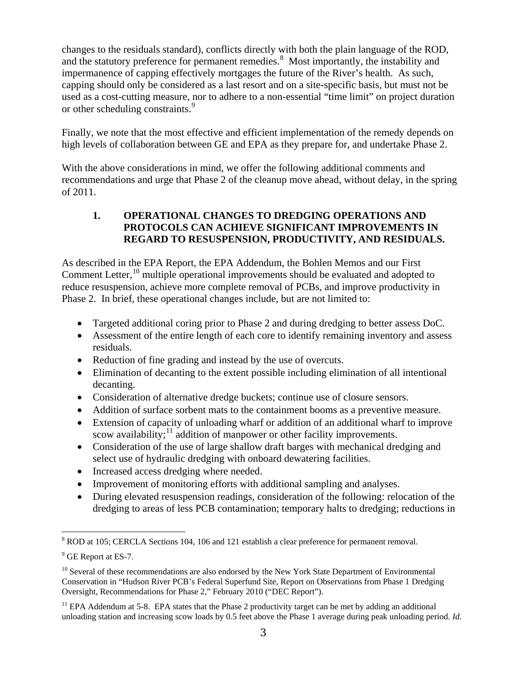changes to the residuals standard), conflicts directly with both the plain language of the ROD, and the statutory preference for permanent remedies. [8](#page-2-0) Most importantly, the instability and impermanence of capping effectively mortgages the future of the River's health. As such, capping should only be considered as a last resort and on a site-specific basis, but must not be used as a cost-cutting measure, nor to adhere to a non-essential "time limit" on project duration or other scheduling constraints.<sup>[9](#page-2-1)</sup>

Finally, we note that the most effective and efficient implementation of the remedy depends on high levels of collaboration between GE and EPA as they prepare for, and undertake Phase 2.

With the above considerations in mind, we offer the following additional comments and recommendations and urge that Phase 2 of the cleanup move ahead, without delay, in the spring of 2011.

# **1. OPERATIONAL CHANGES TO DREDGING OPERATIONS AND PROTOCOLS CAN ACHIEVE SIGNIFICANT IMPROVEMENTS IN REGARD TO RESUSPENSION, PRODUCTIVITY, AND RESIDUALS.**

As described in the EPA Report, the EPA Addendum, the Bohlen Memos and our First Comment Letter,<sup>[10](#page-2-2)</sup> multiple operational improvements should be evaluated and adopted to reduce resuspension, achieve more complete removal of PCBs, and improve productivity in Phase 2. In brief, these operational changes include, but are not limited to:

- Targeted additional coring prior to Phase 2 and during dredging to better assess DoC.
- Assessment of the entire length of each core to identify remaining inventory and assess residuals.
- Reduction of fine grading and instead by the use of overcuts.
- Elimination of decanting to the extent possible including elimination of all intentional decanting.
- Consideration of alternative dredge buckets; continue use of closure sensors.
- Addition of surface sorbent mats to the containment booms as a preventive measure.
- Extension of capacity of unloading wharf or addition of an additional wharf to improve scow availability; $11$  addition of manpower or other facility improvements.
- Consideration of the use of large shallow draft barges with mechanical dredging and select use of hydraulic dredging with onboard dewatering facilities.
- Increased access dredging where needed.
- Improvement of monitoring efforts with additional sampling and analyses.
- During elevated resuspension readings, consideration of the following: relocation of the dredging to areas of less PCB contamination; temporary halts to dredging; reductions in

<span id="page-2-0"></span><sup>8</sup> ROD at 105; CERCLA Sections 104, 106 and 121 establish a clear preference for permanent removal.

<span id="page-2-1"></span><sup>&</sup>lt;sup>9</sup> GE Report at ES-7.

<span id="page-2-2"></span> $10$  Several of these recommendations are also endorsed by the New York State Department of Environmental Conservation in "Hudson River PCB's Federal Superfund Site, Report on Observations from Phase 1 Dredging Oversight, Recommendations for Phase 2," February 2010 ("DEC Report").

<span id="page-2-3"></span> $11$  EPA Addendum at 5-8. EPA states that the Phase 2 productivity target can be met by adding an additional unloading station and increasing scow loads by 0.5 feet above the Phase 1 average during peak unloading period. *Id.*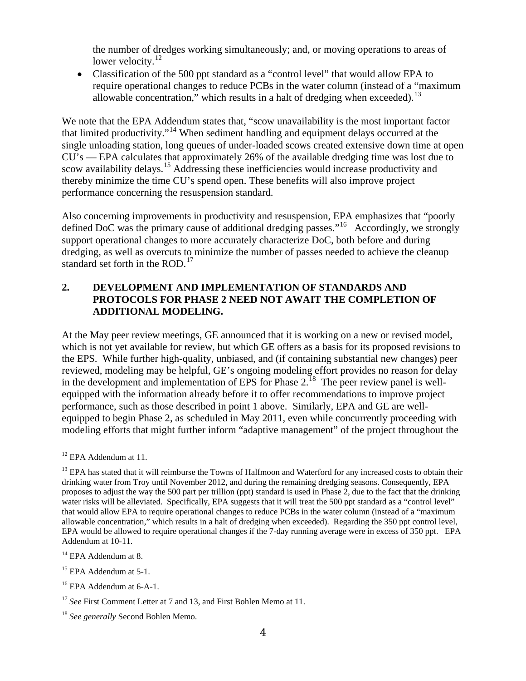the number of dredges working simultaneously; and, or moving operations to areas of lower velocity.<sup>[12](#page-3-0)</sup>

• Classification of the 500 ppt standard as a "control level" that would allow EPA to require operational changes to reduce PCBs in the water column (instead of a "maximum allowable concentration," which results in a halt of dredging when exceeded).<sup>[13](#page-3-1)</sup>

We note that the EPA Addendum states that, "scow unavailability is the most important factor that limited productivity."[14](#page-3-2) When sediment handling and equipment delays occurred at the single unloading station, long queues of under-loaded scows created extensive down time at open CU's — EPA calculates that approximately 26% of the available dredging time was lost due to scow availability delays.<sup>[15](#page-3-3)</sup> Addressing these inefficiencies would increase productivity and thereby minimize the time CU's spend open. These benefits will also improve project performance concerning the resuspension standard.

Also concerning improvements in productivity and resuspension, EPA emphasizes that "poorly defined DoC was the primary cause of additional dredging passes."<sup>16</sup> Accordingly, we strongly support operational changes to more accurately characterize DoC, both before and during dredging, as well as overcuts to minimize the number of passes needed to achieve the cleanup standard set forth in the ROD. $^{17}$  $^{17}$  $^{17}$ 

# **2. DEVELOPMENT AND IMPLEMENTATION OF STANDARDS AND PROTOCOLS FOR PHASE 2 NEED NOT AWAIT THE COMPLETION OF ADDITIONAL MODELING.**

At the May peer review meetings, GE announced that it is working on a new or revised model, which is not yet available for review, but which GE offers as a basis for its proposed revisions to the EPS. While further high-quality, unbiased, and (if containing substantial new changes) peer reviewed, modeling may be helpful, GE's ongoing modeling effort provides no reason for delay in the development and implementation of EPS for Phase  $2<sup>18</sup>$  $2<sup>18</sup>$  $2<sup>18</sup>$  The peer review panel is wellequipped with the information already before it to offer recommendations to improve project performance, such as those described in point 1 above. Similarly, EPA and GE are wellequipped to begin Phase 2, as scheduled in May 2011, even while concurrently proceeding with modeling efforts that might further inform "adaptive management" of the project throughout the

<span id="page-3-0"></span><sup>12</sup> EPA Addendum at 11.

<span id="page-3-1"></span> $<sup>13</sup>$  EPA has stated that it will reimburse the Towns of Halfmoon and Waterford for any increased costs to obtain their</sup> drinking water from Troy until November 2012, and during the remaining dredging seasons. Consequently, EPA proposes to adjust the way the 500 part per trillion (ppt) standard is used in Phase 2, due to the fact that the drinking water risks will be alleviated. Specifically, EPA suggests that it will treat the 500 ppt standard as a "control level" that would allow EPA to require operational changes to reduce PCBs in the water column (instead of a "maximum allowable concentration," which results in a halt of dredging when exceeded). Regarding the 350 ppt control level, EPA would be allowed to require operational changes if the 7-day running average were in excess of 350 ppt. EPA Addendum at 10-11.

<span id="page-3-2"></span><sup>&</sup>lt;sup>14</sup> EPA Addendum at 8.

<span id="page-3-3"></span><sup>&</sup>lt;sup>15</sup> EPA Addendum at 5-1.

<span id="page-3-4"></span><sup>&</sup>lt;sup>16</sup> EPA Addendum at 6-A-1.

<span id="page-3-5"></span><sup>&</sup>lt;sup>17</sup> *See* First Comment Letter at 7 and 13, and First Bohlen Memo at 11.

<span id="page-3-6"></span><sup>18</sup> *See generally* Second Bohlen Memo.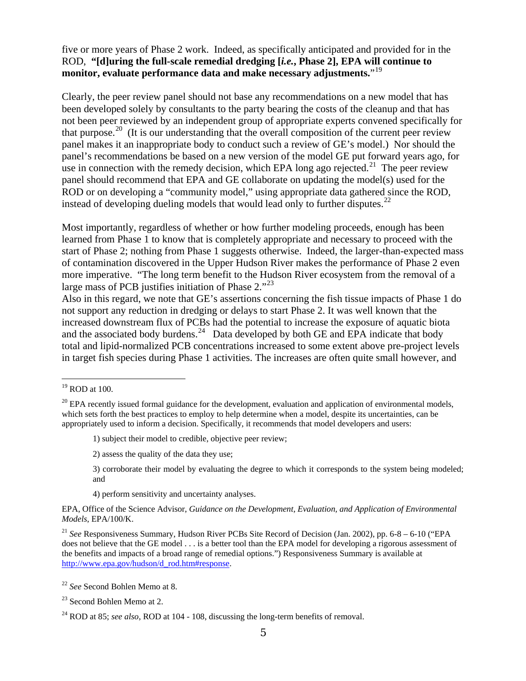five or more years of Phase 2 work. Indeed, as specifically anticipated and provided for in the ROD, **"[d]uring the full-scale remedial dredging [***i.e.***, Phase 2], EPA will continue to monitor, evaluate performance data and make necessary adjustments.**"[19](#page-4-0)

Clearly, the peer review panel should not base any recommendations on a new model that has been developed solely by consultants to the party bearing the costs of the cleanup and that has not been peer reviewed by an independent group of appropriate experts convened specifically for that purpose.<sup>20</sup> (It is our understanding that the overall composition of the current peer review panel makes it an inappropriate body to conduct such a review of GE's model.) Nor should the panel's recommendations be based on a new version of the model GE put forward years ago, for use in connection with the remedy decision, which EPA long ago rejected.<sup>[21](#page-4-2)</sup> The peer review panel should recommend that EPA and GE collaborate on updating the model(s) used for the ROD or on developing a "community model," using appropriate data gathered since the ROD, instead of developing dueling models that would lead only to further disputes.<sup>[22](#page-4-3)</sup>

Most importantly, regardless of whether or how further modeling proceeds, enough has been learned from Phase 1 to know that is completely appropriate and necessary to proceed with the start of Phase 2; nothing from Phase 1 suggests otherwise. Indeed, the larger-than-expected mass of contamination discovered in the Upper Hudson River makes the performance of Phase 2 even more imperative. "The long term benefit to the Hudson River ecosystem from the removal of a large mass of PCB justifies initiation of Phase  $2.^{32}$ .

Also in this regard, we note that GE's assertions concerning the fish tissue impacts of Phase 1 do not support any reduction in dredging or delays to start Phase 2. It was well known that the increased downstream flux of PCBs had the potential to increase the exposure of aquatic biota and the associated body burdens.<sup>[24](#page-4-5)</sup> Data developed by both GE and EPA indicate that body total and lipid-normalized PCB concentrations increased to some extent above pre-project levels in target fish species during Phase 1 activities. The increases are often quite small however, and

1) subject their model to credible, objective peer review;

2) assess the quality of the data they use;

4) perform sensitivity and uncertainty analyses.

EPA, Office of the Science Advisor, *Guidance on the Development, Evaluation, and Application of Environmental Models*, EPA/100/K.

<span id="page-4-2"></span><sup>21</sup> *See* Responsiveness Summary, Hudson River PCBs Site Record of Decision (Jan. 2002), pp. 6-8 – 6-10 ("EPA does not believe that the GE model . . . is a better tool than the EPA model for developing a rigorous assessment of the benefits and impacts of a broad range of remedial options.") Responsiveness Summary is available at [http://www.epa.gov/hudson/d\\_rod.htm#response.](http://www.epa.gov/hudson/d_rod.htm#response)

<span id="page-4-0"></span><sup>19</sup> ROD at 100.

<span id="page-4-1"></span> $^{20}$  EPA recently issued formal guidance for the development, evaluation and application of environmental models, which sets forth the best practices to employ to help determine when a model, despite its uncertainties, can be appropriately used to inform a decision. Specifically, it recommends that model developers and users:

<sup>3)</sup> corroborate their model by evaluating the degree to which it corresponds to the system being modeled; and

<span id="page-4-3"></span><sup>22</sup> *See* Second Bohlen Memo at 8.

<span id="page-4-4"></span><sup>23</sup> Second Bohlen Memo at 2.

<span id="page-4-5"></span><sup>24</sup> ROD at 85; *see also*, ROD at 104 - 108, discussing the long-term benefits of removal.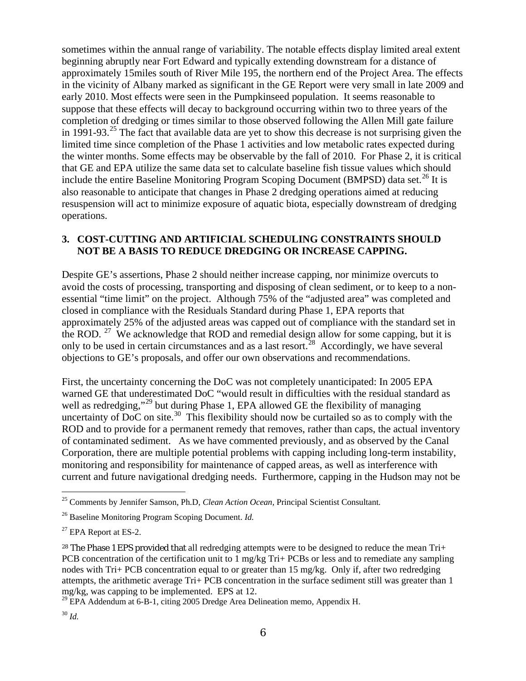sometimes within the annual range of variability. The notable effects display limited areal extent beginning abruptly near Fort Edward and typically extending downstream for a distance of approximately 15miles south of River Mile 195, the northern end of the Project Area. The effects in the vicinity of Albany marked as significant in the GE Report were very small in late 2009 and early 2010. Most effects were seen in the Pumpkinseed population. It seems reasonable to suppose that these effects will decay to background occurring within two to three years of the completion of dredging or times similar to those observed following the Allen Mill gate failure in 1991-93.<sup>[25](#page-5-0)</sup> The fact that available data are yet to show this decrease is not surprising given the limited time since completion of the Phase 1 activities and low metabolic rates expected during the winter months. Some effects may be observable by the fall of 2010. For Phase 2, it is critical that GE and EPA utilize the same data set to calculate baseline fish tissue values which should include the entire Baseline Monitoring Program Scoping Document (BMPSD) data set.<sup>[26](#page-5-1)</sup> It is also reasonable to anticipate that changes in Phase 2 dredging operations aimed at reducing resuspension will act to minimize exposure of aquatic biota, especially downstream of dredging operations.

# **3. COST-CUTTING AND ARTIFICIAL SCHEDULING CONSTRAINTS SHOULD NOT BE A BASIS TO REDUCE DREDGING OR INCREASE CAPPING.**

Despite GE's assertions, Phase 2 should neither increase capping, nor minimize overcuts to avoid the costs of processing, transporting and disposing of clean sediment, or to keep to a nonessential "time limit" on the project. Although 75% of the "adjusted area" was completed and closed in compliance with the Residuals Standard during Phase 1, EPA reports that approximately 25% of the adjusted areas was capped out of compliance with the standard set in the ROD.  $27$  We acknowledge that ROD and remedial design allow for some capping, but it is only to be used in certain circumstances and as a last resort.<sup>[28](#page-5-3)</sup> Accordingly, we have several objections to GE's proposals, and offer our own observations and recommendations.

First, the uncertainty concerning the DoC was not completely unanticipated: In 2005 EPA warned GE that underestimated DoC "would result in difficulties with the residual standard as well as redredging,"<sup>[29](#page-5-4)</sup> but during Phase 1, EPA allowed GE the flexibility of managing uncertainty of  $DoC$  on site.<sup>[30](#page-5-5)</sup> This flexibility should now be curtailed so as to comply with the ROD and to provide for a permanent remedy that removes, rather than caps, the actual inventory of contaminated sediment. As we have commented previously, and as observed by the Canal Corporation, there are multiple potential problems with capping including long-term instability, monitoring and responsibility for maintenance of capped areas, as well as interference with current and future navigational dredging needs. Furthermore, capping in the Hudson may not be

<span id="page-5-0"></span><sup>25</sup> Comments by Jennifer Samson, Ph.D, *Clean Action Ocean,* Principal Scientist Consultant*.*

<span id="page-5-1"></span><sup>26</sup> Baseline Monitoring Program Scoping Document. *Id.* 

<span id="page-5-2"></span><sup>&</sup>lt;sup>27</sup> EPA Report at ES-2.

<span id="page-5-3"></span><sup>28</sup> The Phase 1 EPS provided that all redredging attempts were to be designed to reduce the mean Tri+ PCB concentration of the certification unit to 1 mg/kg Tri+ PCBs or less and to remediate any sampling nodes with Tri+ PCB concentration equal to or greater than 15 mg/kg. Only if, after two redredging attempts, the arithmetic average Tri+ PCB concentration in the surface sediment still was greater than 1 mg/kg, was capping to be implemented. EPS at 12.

<span id="page-5-5"></span><span id="page-5-4"></span> $^{29}$  EPA Addendum at 6-B-1, citing 2005 Dredge Area Delineation memo, Appendix H.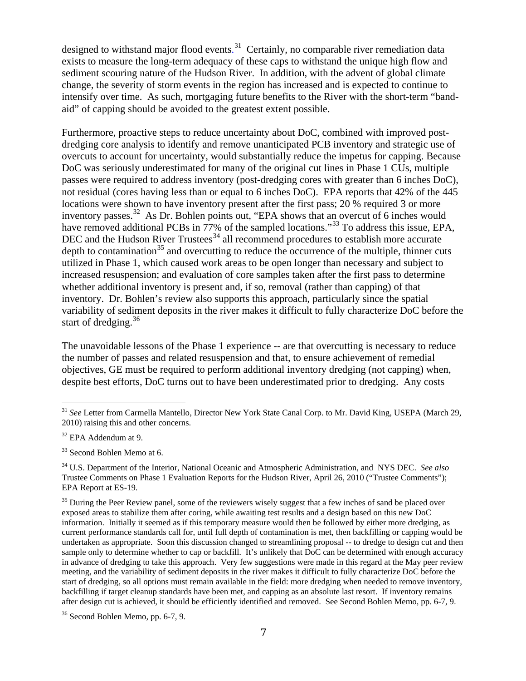designed to withstand major flood events.<sup>[31](#page-6-0)</sup> Certainly, no comparable river remediation data exists to measure the long-term adequacy of these caps to withstand the unique high flow and sediment scouring nature of the Hudson River. In addition, with the advent of global climate change, the severity of storm events in the region has increased and is expected to continue to intensify over time. As such, mortgaging future benefits to the River with the short-term "bandaid" of capping should be avoided to the greatest extent possible.

Furthermore, proactive steps to reduce uncertainty about DoC, combined with improved postdredging core analysis to identify and remove unanticipated PCB inventory and strategic use of overcuts to account for uncertainty, would substantially reduce the impetus for capping. Because DoC was seriously underestimated for many of the original cut lines in Phase 1 CUs, multiple passes were required to address inventory (post-dredging cores with greater than 6 inches DoC), not residual (cores having less than or equal to 6 inches DoC). EPA reports that 42% of the 445 locations were shown to have inventory present after the first pass; 20 % required 3 or more inventory passes.<sup>[32](#page-6-1)</sup> As Dr. Bohlen points out, "EPA shows that an overcut of 6 inches would have removed additional PCBs in 77% of the sampled locations."<sup>[33](#page-6-2)</sup> To address this issue, EPA, DEC and the Hudson River Trustees<sup>[34](#page-6-3)</sup> all recommend procedures to establish more accurate depth to contamination<sup>[35](#page-6-4)</sup> and overcutting to reduce the occurrence of the multiple, thinner cuts utilized in Phase 1, which caused work areas to be open longer than necessary and subject to increased resuspension; and evaluation of core samples taken after the first pass to determine whether additional inventory is present and, if so, removal (rather than capping) of that inventory. Dr. Bohlen's review also supports this approach, particularly since the spatial variability of sediment deposits in the river makes it difficult to fully characterize DoC before the start of dredging.<sup>36</sup>

The unavoidable lessons of the Phase 1 experience -- are that overcutting is necessary to reduce the number of passes and related resuspension and that, to ensure achievement of remedial objectives, GE must be required to perform additional inventory dredging (not capping) when, despite best efforts, DoC turns out to have been underestimated prior to dredging. Any costs

<span id="page-6-0"></span><sup>&</sup>lt;sup>31</sup> See Letter from Carmella Mantello, Director New York State Canal Corp. to Mr. David King, USEPA (March 29, 2010) raising this and other concerns.

<span id="page-6-1"></span><sup>32</sup> EPA Addendum at 9.

<span id="page-6-2"></span><sup>&</sup>lt;sup>33</sup> Second Bohlen Memo at 6.

<span id="page-6-3"></span><sup>34</sup> U.S. Department of the Interior, National Oceanic and Atmospheric Administration, and NYS DEC. *See also* Trustee Comments on Phase 1 Evaluation Reports for the Hudson River, April 26, 2010 ("Trustee Comments"); EPA Report at ES-19.

<span id="page-6-4"></span><sup>&</sup>lt;sup>35</sup> During the Peer Review panel, some of the reviewers wisely suggest that a few inches of sand be placed over exposed areas to stabilize them after coring, while awaiting test results and a design based on this new DoC information. Initially it seemed as if this temporary measure would then be followed by either more dredging, as current performance standards call for, until full depth of contamination is met, then backfilling or capping would be undertaken as appropriate. Soon this discussion changed to streamlining proposal -- to dredge to design cut and then sample only to determine whether to cap or backfill. It's unlikely that DoC can be determined with enough accuracy in advance of dredging to take this approach. Very few suggestions were made in this regard at the May peer review meeting, and the variability of sediment deposits in the river makes it difficult to fully characterize DoC before the start of dredging, so all options must remain available in the field: more dredging when needed to remove inventory, backfilling if target cleanup standards have been met, and capping as an absolute last resort. If inventory remains after design cut is achieved, it should be efficiently identified and removed. See Second Bohlen Memo, pp. 6-7, 9.

<span id="page-6-5"></span><sup>&</sup>lt;sup>36</sup> Second Bohlen Memo, pp. 6-7, 9.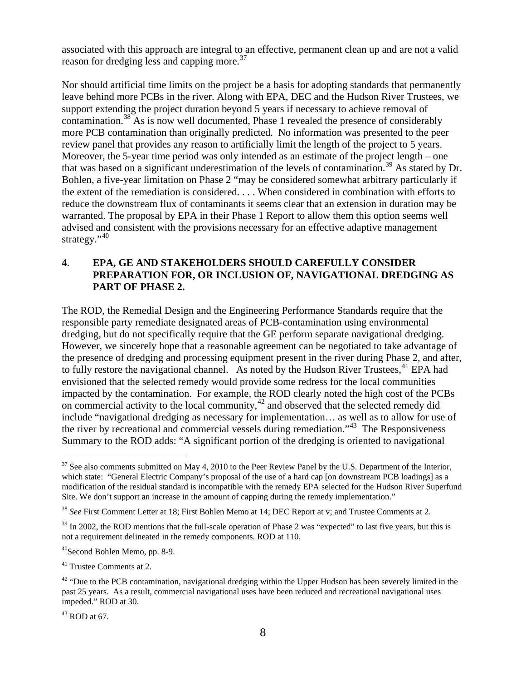associated with this approach are integral to an effective, permanent clean up and are not a valid reason for dredging less and capping more.<sup>[37](#page-7-0)</sup>

Nor should artificial time limits on the project be a basis for adopting standards that permanently leave behind more PCBs in the river. Along with EPA, DEC and the Hudson River Trustees, we support extending the project duration beyond 5 years if necessary to achieve removal of contamination.<sup>[38](#page-7-1)</sup> As is now well documented, Phase 1 revealed the presence of considerably more PCB contamination than originally predicted. No information was presented to the peer review panel that provides any reason to artificially limit the length of the project to 5 years. Moreover, the 5-year time period was only intended as an estimate of the project length – one that was based on a significant underestimation of the levels of contamination.<sup>[39](#page-7-2)</sup> As stated by Dr. Bohlen, a five-year limitation on Phase 2 "may be considered somewhat arbitrary particularly if the extent of the remediation is considered. . . . When considered in combination with efforts to reduce the downstream flux of contaminants it seems clear that an extension in duration may be warranted. The proposal by EPA in their Phase 1 Report to allow them this option seems well advised and consistent with the provisions necessary for an effective adaptive management strategy."<sup>[40](#page-7-3)</sup>

# **4**. **EPA, GE AND STAKEHOLDERS SHOULD CAREFULLY CONSIDER PREPARATION FOR, OR INCLUSION OF, NAVIGATIONAL DREDGING AS PART OF PHASE 2.**

The ROD, the Remedial Design and the Engineering Performance Standards require that the responsible party remediate designated areas of PCB-contamination using environmental dredging, but do not specifically require that the GE perform separate navigational dredging. However, we sincerely hope that a reasonable agreement can be negotiated to take advantage of the presence of dredging and processing equipment present in the river during Phase 2, and after, to fully restore the navigational channel. As noted by the Hudson River Trustees,  $41$  EPA had envisioned that the selected remedy would provide some redress for the local communities impacted by the contamination. For example, the ROD clearly noted the high cost of the PCBs on commercial activity to the local community, $42$  and observed that the selected remedy did include "navigational dredging as necessary for implementation… as well as to allow for use of the river by recreational and commercial vessels during remediation."<sup>[43](#page-7-6)</sup> The Responsiveness Summary to the ROD adds: "A significant portion of the dredging is oriented to navigational

<span id="page-7-0"></span> $37$  See also comments submitted on May 4, 2010 to the Peer Review Panel by the U.S. Department of the Interior, which state: "General Electric Company's proposal of the use of a hard cap [on downstream PCB loadings] as a modification of the residual standard is incompatible with the remedy EPA selected for the Hudson River Superfund Site. We don't support an increase in the amount of capping during the remedy implementation."

<span id="page-7-1"></span><sup>38</sup> *See* First Comment Letter at 18; First Bohlen Memo at 14; DEC Report at v; and Trustee Comments at 2.

<span id="page-7-2"></span><sup>&</sup>lt;sup>39</sup> In 2002, the ROD mentions that the full-scale operation of Phase 2 was "expected" to last five years, but this is not a requirement delineated in the remedy components. ROD at 110.

<span id="page-7-3"></span><sup>40</sup>Second Bohlen Memo, pp. 8-9.

<span id="page-7-4"></span><sup>&</sup>lt;sup>41</sup> Trustee Comments at 2.

<span id="page-7-5"></span><sup>&</sup>lt;sup>42</sup> "Due to the PCB contamination, navigational dredging within the Upper Hudson has been severely limited in the past 25 years. As a result, commercial navigational uses have been reduced and recreational navigational uses impeded." ROD at 30.

<span id="page-7-6"></span> $43$  ROD at 67.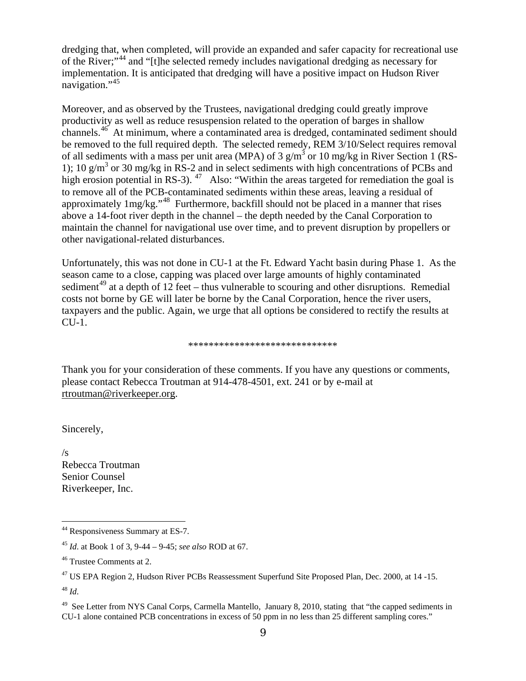dredging that, when completed, will provide an expanded and safer capacity for recreational use of the River;"<sup>[44](#page-8-0)</sup> and "[t]he selected remedy includes navigational dredging as necessary for implementation. It is anticipated that dredging will have a positive impact on Hudson River navigation."<sup>[45](#page-8-1)</sup>

Moreover, and as observed by the Trustees, navigational dredging could greatly improve productivity as well as reduce resuspension related to the operation of barges in shallow channels.[46](#page-8-2) At minimum, where a contaminated area is dredged, contaminated sediment should be removed to the full required depth. The selected remedy, REM 3/10/Select requires removal of all sediments with a mass per unit area (MPA) of 3  $g/m<sup>3</sup>$  or 10 mg/kg in River Section 1 (RS-1); 10  $\text{g/m}^3$  or 30 mg/kg in RS-2 and in select sediments with high concentrations of PCBs and high erosion potential in RS-3).  $47$  Also: "Within the areas targeted for remediation the goal is to remove all of the PCB-contaminated sediments within these areas, leaving a residual of approximately  $1mg/kg$ .<sup> $48$ </sup> Furthermore, backfill should not be placed in a manner that rises above a 14-foot river depth in the channel – the depth needed by the Canal Corporation to maintain the channel for navigational use over time, and to prevent disruption by propellers or other navigational-related disturbances.

Unfortunately, this was not done in CU-1 at the Ft. Edward Yacht basin during Phase 1. As the season came to a close, capping was placed over large amounts of highly contaminated sediment<sup>[49](#page-8-5)</sup> at a depth of 12 feet – thus vulnerable to scouring and other disruptions. Remedial costs not borne by GE will later be borne by the Canal Corporation, hence the river users, taxpayers and the public. Again, we urge that all options be considered to rectify the results at CU-1.

#### \*\*\*\*\*\*\*\*\*\*\*\*\*\*\*\*\*\*\*\*\*\*\*\*\*\*\*\*\*

Thank you for your consideration of these comments. If you have any questions or comments, please contact Rebecca Troutman at 914-478-4501, ext. 241 or by e-mail at rtroutman@riverkeeper.org.

Sincerely,

 $/s<sup>2</sup>$ Rebecca Troutman Senior Counsel Riverkeeper, Inc.

<span id="page-8-0"></span><sup>44</sup> Responsiveness Summary at ES-7.

<span id="page-8-1"></span><sup>45</sup> *Id*. at Book 1 of 3, 9-44 – 9-45; *see also* ROD at 67.

<span id="page-8-2"></span><sup>46</sup> Trustee Comments at 2.

<span id="page-8-3"></span><sup>&</sup>lt;sup>47</sup> US EPA Region 2, Hudson River PCBs Reassessment Superfund Site Proposed Plan, Dec. 2000, at 14 -15. <sup>48</sup> *Id*.

<span id="page-8-5"></span><span id="page-8-4"></span><sup>&</sup>lt;sup>49</sup> See Letter from NYS Canal Corps, Carmella Mantello, January 8, 2010, stating that "the capped sediments in CU-1 alone contained PCB concentrations in excess of 50 ppm in no less than 25 different sampling cores."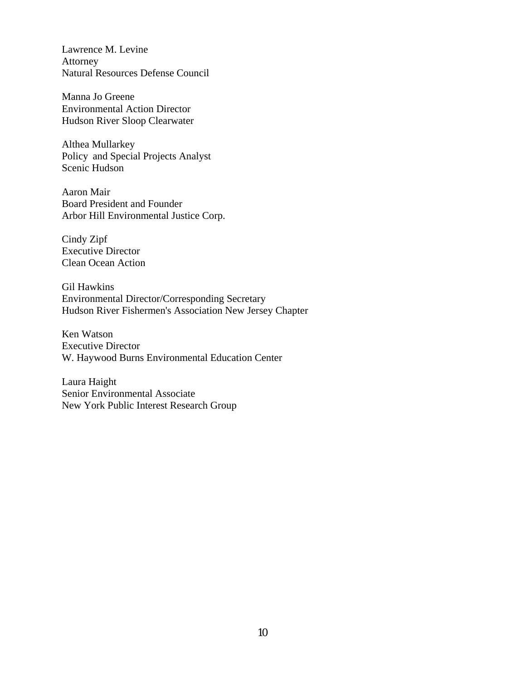Lawrence M. Levine Attorney Natural Resources Defense Council

Manna Jo Greene Environmental Action Director Hudson River Sloop Clearwater

Althea Mullarkey Policy and Special Projects Analyst Scenic Hudson

Aaron Mair Board President and Founder Arbor Hill Environmental Justice Corp.

Cindy Zipf Executive Director Clean Ocean Action

Gil Hawkins Environmental Director/Corresponding Secretary Hudson River Fishermen's Association New Jersey Chapter

Ken Watson Executive Director W. Haywood Burns Environmental Education Center

Laura Haight Senior Environmental Associate New York Public Interest Research Group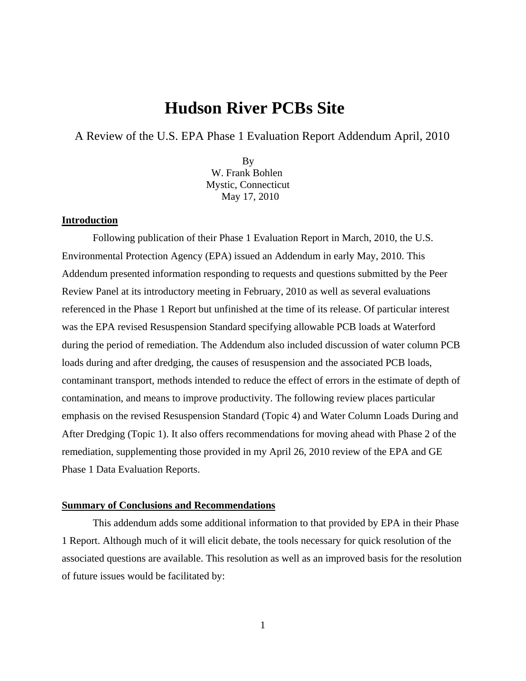# **Hudson River PCBs Site**

A Review of the U.S. EPA Phase 1 Evaluation Report Addendum April, 2010

 By W. Frank Bohlen Mystic, Connecticut May 17, 2010

## **Introduction**

 Following publication of their Phase 1 Evaluation Report in March, 2010, the U.S. Environmental Protection Agency (EPA) issued an Addendum in early May, 2010. This Addendum presented information responding to requests and questions submitted by the Peer Review Panel at its introductory meeting in February, 2010 as well as several evaluations referenced in the Phase 1 Report but unfinished at the time of its release. Of particular interest was the EPA revised Resuspension Standard specifying allowable PCB loads at Waterford during the period of remediation. The Addendum also included discussion of water column PCB loads during and after dredging, the causes of resuspension and the associated PCB loads, contaminant transport, methods intended to reduce the effect of errors in the estimate of depth of contamination, and means to improve productivity. The following review places particular emphasis on the revised Resuspension Standard (Topic 4) and Water Column Loads During and After Dredging (Topic 1). It also offers recommendations for moving ahead with Phase 2 of the remediation, supplementing those provided in my April 26, 2010 review of the EPA and GE Phase 1 Data Evaluation Reports.

## **Summary of Conclusions and Recommendations**

 This addendum adds some additional information to that provided by EPA in their Phase 1 Report. Although much of it will elicit debate, the tools necessary for quick resolution of the associated questions are available. This resolution as well as an improved basis for the resolution of future issues would be facilitated by: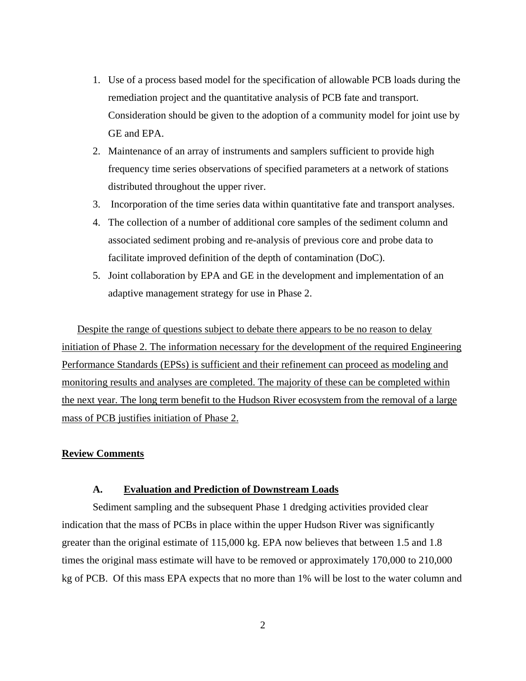- 1. Use of a process based model for the specification of allowable PCB loads during the remediation project and the quantitative analysis of PCB fate and transport. Consideration should be given to the adoption of a community model for joint use by GE and EPA.
- 2. Maintenance of an array of instruments and samplers sufficient to provide high frequency time series observations of specified parameters at a network of stations distributed throughout the upper river.
- 3. Incorporation of the time series data within quantitative fate and transport analyses.
- 4. The collection of a number of additional core samples of the sediment column and associated sediment probing and re-analysis of previous core and probe data to facilitate improved definition of the depth of contamination (DoC).
- 5. Joint collaboration by EPA and GE in the development and implementation of an adaptive management strategy for use in Phase 2.

Despite the range of questions subject to debate there appears to be no reason to delay initiation of Phase 2. The information necessary for the development of the required Engineering Performance Standards (EPSs) is sufficient and their refinement can proceed as modeling and monitoring results and analyses are completed. The majority of these can be completed within the next year. The long term benefit to the Hudson River ecosystem from the removal of a large mass of PCB justifies initiation of Phase 2.

## **Review Comments**

#### **A. Evaluation and Prediction of Downstream Loads**

 Sediment sampling and the subsequent Phase 1 dredging activities provided clear indication that the mass of PCBs in place within the upper Hudson River was significantly greater than the original estimate of 115,000 kg. EPA now believes that between 1.5 and 1.8 times the original mass estimate will have to be removed or approximately 170,000 to 210,000 kg of PCB. Of this mass EPA expects that no more than 1% will be lost to the water column and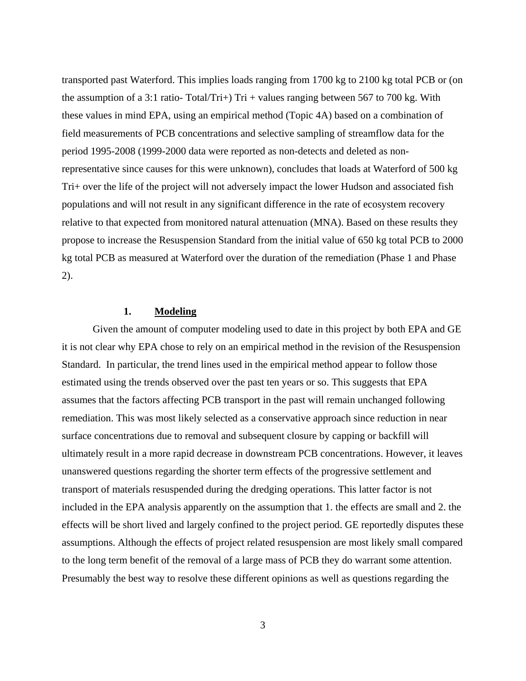transported past Waterford. This implies loads ranging from 1700 kg to 2100 kg total PCB or (on the assumption of a 3:1 ratio- Total/Tri+) Tri + values ranging between 567 to 700 kg. With these values in mind EPA, using an empirical method (Topic 4A) based on a combination of field measurements of PCB concentrations and selective sampling of streamflow data for the period 1995-2008 (1999-2000 data were reported as non-detects and deleted as nonrepresentative since causes for this were unknown), concludes that loads at Waterford of 500 kg Tri+ over the life of the project will not adversely impact the lower Hudson and associated fish populations and will not result in any significant difference in the rate of ecosystem recovery relative to that expected from monitored natural attenuation (MNA). Based on these results they propose to increase the Resuspension Standard from the initial value of 650 kg total PCB to 2000 kg total PCB as measured at Waterford over the duration of the remediation (Phase 1 and Phase 2).

# **1. Modeling**

 Given the amount of computer modeling used to date in this project by both EPA and GE it is not clear why EPA chose to rely on an empirical method in the revision of the Resuspension Standard. In particular, the trend lines used in the empirical method appear to follow those estimated using the trends observed over the past ten years or so. This suggests that EPA assumes that the factors affecting PCB transport in the past will remain unchanged following remediation. This was most likely selected as a conservative approach since reduction in near surface concentrations due to removal and subsequent closure by capping or backfill will ultimately result in a more rapid decrease in downstream PCB concentrations. However, it leaves unanswered questions regarding the shorter term effects of the progressive settlement and transport of materials resuspended during the dredging operations. This latter factor is not included in the EPA analysis apparently on the assumption that 1. the effects are small and 2. the effects will be short lived and largely confined to the project period. GE reportedly disputes these assumptions. Although the effects of project related resuspension are most likely small compared to the long term benefit of the removal of a large mass of PCB they do warrant some attention. Presumably the best way to resolve these different opinions as well as questions regarding the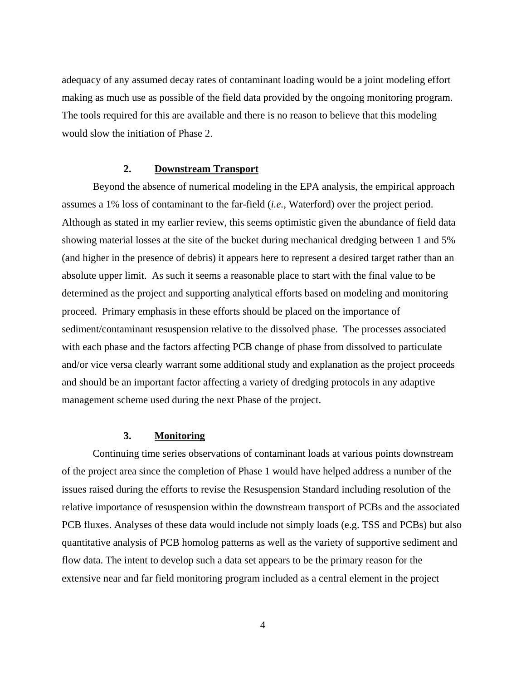adequacy of any assumed decay rates of contaminant loading would be a joint modeling effort making as much use as possible of the field data provided by the ongoing monitoring program. The tools required for this are available and there is no reason to believe that this modeling would slow the initiation of Phase 2.

## **2. Downstream Transport**

 Beyond the absence of numerical modeling in the EPA analysis, the empirical approach assumes a 1% loss of contaminant to the far-field (*i.e.,* Waterford) over the project period. Although as stated in my earlier review, this seems optimistic given the abundance of field data showing material losses at the site of the bucket during mechanical dredging between 1 and 5% (and higher in the presence of debris) it appears here to represent a desired target rather than an absolute upper limit. As such it seems a reasonable place to start with the final value to be determined as the project and supporting analytical efforts based on modeling and monitoring proceed. Primary emphasis in these efforts should be placed on the importance of sediment/contaminant resuspension relative to the dissolved phase. The processes associated with each phase and the factors affecting PCB change of phase from dissolved to particulate and/or vice versa clearly warrant some additional study and explanation as the project proceeds and should be an important factor affecting a variety of dredging protocols in any adaptive management scheme used during the next Phase of the project.

# **3. Monitoring**

 Continuing time series observations of contaminant loads at various points downstream of the project area since the completion of Phase 1 would have helped address a number of the issues raised during the efforts to revise the Resuspension Standard including resolution of the relative importance of resuspension within the downstream transport of PCBs and the associated PCB fluxes. Analyses of these data would include not simply loads (e.g. TSS and PCBs) but also quantitative analysis of PCB homolog patterns as well as the variety of supportive sediment and flow data. The intent to develop such a data set appears to be the primary reason for the extensive near and far field monitoring program included as a central element in the project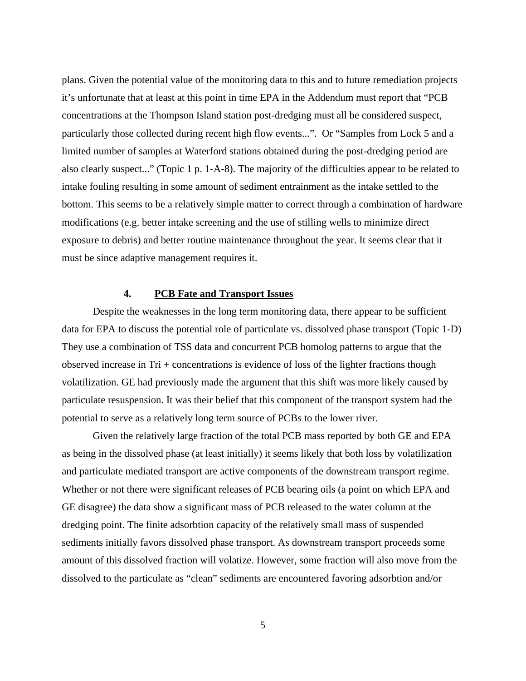plans. Given the potential value of the monitoring data to this and to future remediation projects it's unfortunate that at least at this point in time EPA in the Addendum must report that "PCB concentrations at the Thompson Island station post-dredging must all be considered suspect, particularly those collected during recent high flow events...". Or "Samples from Lock 5 and a limited number of samples at Waterford stations obtained during the post-dredging period are also clearly suspect..." (Topic 1 p. 1-A-8). The majority of the difficulties appear to be related to intake fouling resulting in some amount of sediment entrainment as the intake settled to the bottom. This seems to be a relatively simple matter to correct through a combination of hardware modifications (e.g. better intake screening and the use of stilling wells to minimize direct exposure to debris) and better routine maintenance throughout the year. It seems clear that it must be since adaptive management requires it.

## **4. PCB Fate and Transport Issues**

 Despite the weaknesses in the long term monitoring data, there appear to be sufficient data for EPA to discuss the potential role of particulate vs. dissolved phase transport (Topic 1-D) They use a combination of TSS data and concurrent PCB homolog patterns to argue that the observed increase in Tri + concentrations is evidence of loss of the lighter fractions though volatilization. GE had previously made the argument that this shift was more likely caused by particulate resuspension. It was their belief that this component of the transport system had the potential to serve as a relatively long term source of PCBs to the lower river.

 Given the relatively large fraction of the total PCB mass reported by both GE and EPA as being in the dissolved phase (at least initially) it seems likely that both loss by volatilization and particulate mediated transport are active components of the downstream transport regime. Whether or not there were significant releases of PCB bearing oils (a point on which EPA and GE disagree) the data show a significant mass of PCB released to the water column at the dredging point. The finite adsorbtion capacity of the relatively small mass of suspended sediments initially favors dissolved phase transport. As downstream transport proceeds some amount of this dissolved fraction will volatize. However, some fraction will also move from the dissolved to the particulate as "clean" sediments are encountered favoring adsorbtion and/or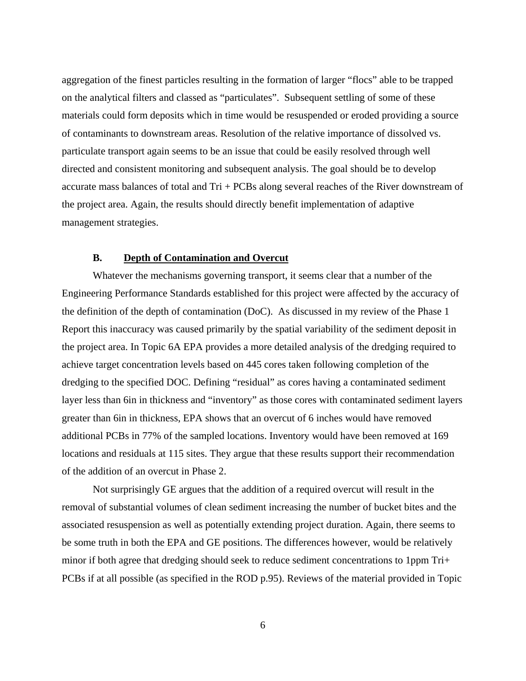aggregation of the finest particles resulting in the formation of larger "flocs" able to be trapped on the analytical filters and classed as "particulates". Subsequent settling of some of these materials could form deposits which in time would be resuspended or eroded providing a source of contaminants to downstream areas. Resolution of the relative importance of dissolved vs. particulate transport again seems to be an issue that could be easily resolved through well directed and consistent monitoring and subsequent analysis. The goal should be to develop accurate mass balances of total and Tri + PCBs along several reaches of the River downstream of the project area. Again, the results should directly benefit implementation of adaptive management strategies.

## **B. Depth of Contamination and Overcut**

 Whatever the mechanisms governing transport, it seems clear that a number of the Engineering Performance Standards established for this project were affected by the accuracy of the definition of the depth of contamination (DoC). As discussed in my review of the Phase 1 Report this inaccuracy was caused primarily by the spatial variability of the sediment deposit in the project area. In Topic 6A EPA provides a more detailed analysis of the dredging required to achieve target concentration levels based on 445 cores taken following completion of the dredging to the specified DOC. Defining "residual" as cores having a contaminated sediment layer less than 6in in thickness and "inventory" as those cores with contaminated sediment layers greater than 6in in thickness, EPA shows that an overcut of 6 inches would have removed additional PCBs in 77% of the sampled locations. Inventory would have been removed at 169 locations and residuals at 115 sites. They argue that these results support their recommendation of the addition of an overcut in Phase 2.

 Not surprisingly GE argues that the addition of a required overcut will result in the removal of substantial volumes of clean sediment increasing the number of bucket bites and the associated resuspension as well as potentially extending project duration. Again, there seems to be some truth in both the EPA and GE positions. The differences however, would be relatively minor if both agree that dredging should seek to reduce sediment concentrations to 1ppm Tri+ PCBs if at all possible (as specified in the ROD p.95). Reviews of the material provided in Topic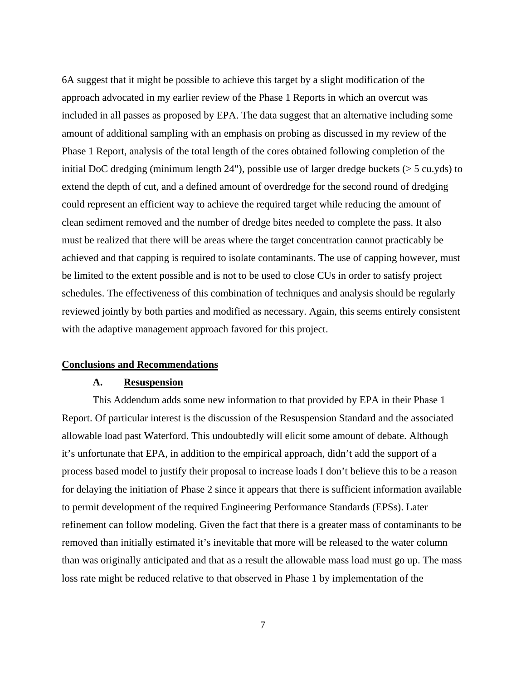6A suggest that it might be possible to achieve this target by a slight modification of the approach advocated in my earlier review of the Phase 1 Reports in which an overcut was included in all passes as proposed by EPA. The data suggest that an alternative including some amount of additional sampling with an emphasis on probing as discussed in my review of the Phase 1 Report, analysis of the total length of the cores obtained following completion of the initial DoC dredging (minimum length 24"), possible use of larger dredge buckets (> 5 cu.yds) to extend the depth of cut, and a defined amount of overdredge for the second round of dredging could represent an efficient way to achieve the required target while reducing the amount of clean sediment removed and the number of dredge bites needed to complete the pass. It also must be realized that there will be areas where the target concentration cannot practicably be achieved and that capping is required to isolate contaminants. The use of capping however, must be limited to the extent possible and is not to be used to close CUs in order to satisfy project schedules. The effectiveness of this combination of techniques and analysis should be regularly reviewed jointly by both parties and modified as necessary. Again, this seems entirely consistent with the adaptive management approach favored for this project.

#### **Conclusions and Recommendations**

#### **A. Resuspension**

 This Addendum adds some new information to that provided by EPA in their Phase 1 Report. Of particular interest is the discussion of the Resuspension Standard and the associated allowable load past Waterford. This undoubtedly will elicit some amount of debate. Although it's unfortunate that EPA, in addition to the empirical approach, didn't add the support of a process based model to justify their proposal to increase loads I don't believe this to be a reason for delaying the initiation of Phase 2 since it appears that there is sufficient information available to permit development of the required Engineering Performance Standards (EPSs). Later refinement can follow modeling. Given the fact that there is a greater mass of contaminants to be removed than initially estimated it's inevitable that more will be released to the water column than was originally anticipated and that as a result the allowable mass load must go up. The mass loss rate might be reduced relative to that observed in Phase 1 by implementation of the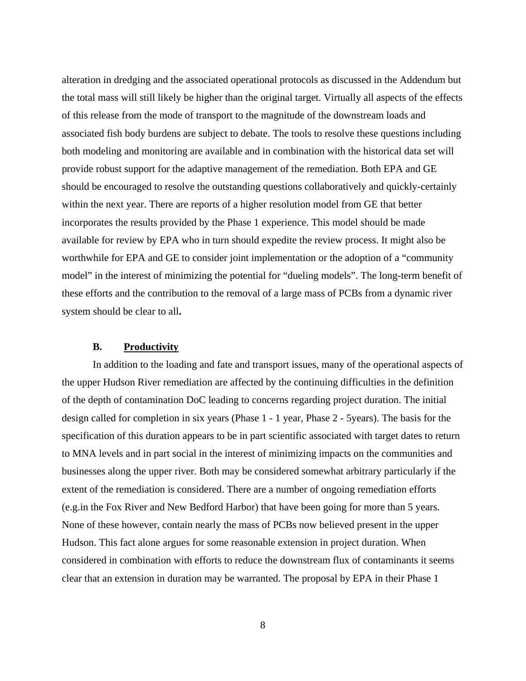alteration in dredging and the associated operational protocols as discussed in the Addendum but the total mass will still likely be higher than the original target. Virtually all aspects of the effects of this release from the mode of transport to the magnitude of the downstream loads and associated fish body burdens are subject to debate. The tools to resolve these questions including both modeling and monitoring are available and in combination with the historical data set will provide robust support for the adaptive management of the remediation. Both EPA and GE should be encouraged to resolve the outstanding questions collaboratively and quickly-certainly within the next year. There are reports of a higher resolution model from GE that better incorporates the results provided by the Phase 1 experience. This model should be made available for review by EPA who in turn should expedite the review process. It might also be worthwhile for EPA and GE to consider joint implementation or the adoption of a "community model" in the interest of minimizing the potential for "dueling models". The long-term benefit of these efforts and the contribution to the removal of a large mass of PCBs from a dynamic river system should be clear to all**.** 

#### **B. Productivity**

 In addition to the loading and fate and transport issues, many of the operational aspects of the upper Hudson River remediation are affected by the continuing difficulties in the definition of the depth of contamination DoC leading to concerns regarding project duration. The initial design called for completion in six years (Phase 1 - 1 year, Phase 2 - 5years). The basis for the specification of this duration appears to be in part scientific associated with target dates to return to MNA levels and in part social in the interest of minimizing impacts on the communities and businesses along the upper river. Both may be considered somewhat arbitrary particularly if the extent of the remediation is considered. There are a number of ongoing remediation efforts (e.g.in the Fox River and New Bedford Harbor) that have been going for more than 5 years. None of these however, contain nearly the mass of PCBs now believed present in the upper Hudson. This fact alone argues for some reasonable extension in project duration. When considered in combination with efforts to reduce the downstream flux of contaminants it seems clear that an extension in duration may be warranted. The proposal by EPA in their Phase 1